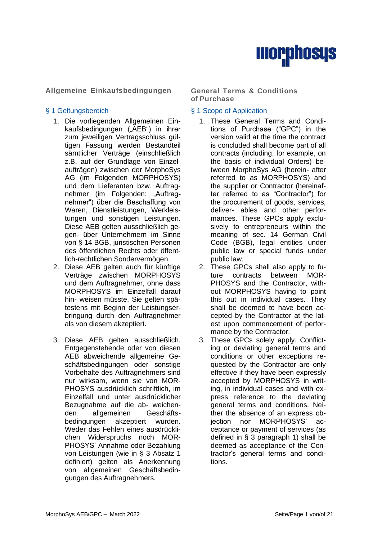

**Allgemeine Einkaufsbedingungen General Terms & Conditions**

- 1. Die vorliegenden Allgemeinen Einkaufsbedingungen ("AEB") in ihrer zum jeweiligen Vertragsschluss gültigen Fassung werden Bestandteil sämtlicher Verträge (einschließlich z.B. auf der Grundlage von Einzelaufträgen) zwischen der MorphoSys AG (im Folgenden MORPHOSYS) und dem Lieferanten bzw. Auftragnehmer (im Folgenden: "Auftragnehmer") über die Beschaffung von Waren, Dienstleistungen, Werkleistungen und sonstigen Leistungen. Diese AEB gelten ausschließlich gegen- über Unternehmern im Sinne von § 14 BGB, juristischen Personen des öffentlichen Rechts oder öffentlich-rechtlichen Sondervermögen.
- 2. Diese AEB gelten auch für künftige Verträge zwischen MORPHOSYS und dem Auftragnehmer, ohne dass MORPHOSYS im Einzelfall darauf hin- weisen müsste. Sie gelten spätestens mit Beginn der Leistungserbringung durch den Auftragnehmer als von diesem akzeptiert.
- 3. Diese AEB gelten ausschließlich. Entgegenstehende oder von diesen AEB abweichende allgemeine Geschäftsbedingungen oder sonstige Vorbehalte des Auftragnehmers sind nur wirksam, wenn sie von MOR-PHOSYS ausdrücklich schriftlich, im Einzelfall und unter ausdrücklicher Bezugnahme auf die ab- weichenden allgemeinen Geschäftsbedingungen akzeptiert wurden. Weder das Fehlen eines ausdrücklichen Widerspruchs noch MOR-PHOSYS' Annahme oder Bezahlung von Leistungen (wie in § 3 Absatz 1 definiert) gelten als Anerkennung von allgemeinen Geschäftsbedingungen des Auftragnehmers.

# **of Purchase**

# § 1 Geltungsbereich <br>
§ 1 Scope of Application

- 1. These General Terms and Conditions of Purchase ("GPC") in the version valid at the time the contract is concluded shall become part of all contracts (including, for example, on the basis of individual Orders) between MorphoSys AG (herein- after referred to as MORPHOSYS) and the supplier or Contractor (hereinafter referred to as "Contractor") for the procurement of goods, services, deliver- ables and other performances. These GPCs apply exclusively to entrepreneurs within the meaning of sec. 14 German Civil Code (BGB), legal entities under public law or special funds under public law.
- 2. These GPCs shall also apply to future contracts between MOR-PHOSYS and the Contractor, without MORPHOSYS having to point this out in individual cases. They shall be deemed to have been accepted by the Contractor at the latest upon commencement of performance by the Contractor.
- 3. These GPCs solely apply. Conflicting or deviating general terms and conditions or other exceptions requested by the Contractor are only effective if they have been expressly accepted by MORPHOSYS in writing, in individual cases and with express reference to the deviating general terms and conditions. Neither the absence of an express objection nor MORPHOSYS' acceptance or payment of services (as defined in § 3 paragraph 1) shall be deemed as acceptance of the Contractor's general terms and conditions.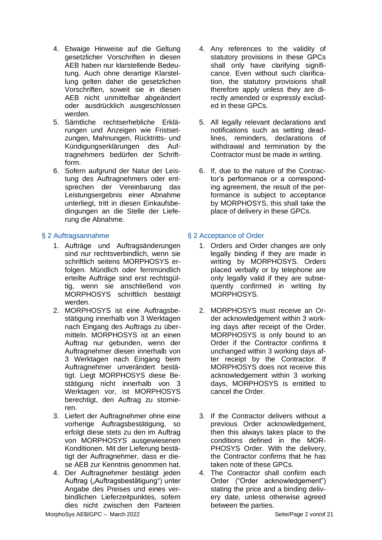- 4. Etwaige Hinweise auf die Geltung gesetzlicher Vorschriften in diesen AEB haben nur klarstellende Bedeutung. Auch ohne derartige Klarstellung gelten daher die gesetzlichen Vorschriften, soweit sie in diesen AEB nicht unmittelbar abgeändert oder ausdrücklich ausgeschlossen werden.
- 5. Sämtliche rechtserhebliche Erklärungen und Anzeigen wie Fristsetzungen, Mahnungen, Rücktritts- und Kündigungserklärungen des Auftragnehmers bedürfen der Schriftform.
- 6. Sofern aufgrund der Natur der Leistung des Auftragnehmers oder entsprechen der Vereinbarung das Leistungsergebnis einer Abnahme unterliegt, tritt in diesen Einkaufsbedingungen an die Stelle der Lieferung die Abnahme.

- 1. Aufträge und Auftragsänderungen sind nur rechtsverbindlich, wenn sie schriftlich seitens MORPHOSYS erfolgen. Mündlich oder fernmündlich erteilte Aufträge sind erst rechtsgültig, wenn sie anschließend von MORPHOSYS schriftlich bestätigt werden.
- 2. MORPHOSYS ist eine Auftragsbestätigung innerhalb von 3 Werktagen nach Eingang des Auftrags zu übermitteln. MORPHOSYS ist an einen Auftrag nur gebunden, wenn der Auftragnehmer diesen innerhalb von 3 Werktagen nach Eingang beim Auftragnehmer unverändert bestätigt. Liegt MORPHOSYS diese Bestätigung nicht innerhalb von 3 Werktagen vor, ist MORPHOSYS berechtigt, den Auftrag zu stornieren.
- 3. Liefert der Auftragnehmer ohne eine vorherige Auftragsbestätigung, so erfolgt diese stets zu den im Auftrag von MORPHOSYS ausgewiesenen Konditionen. Mit der Lieferung bestätigt der Auftragnehmer, dass er diese AEB zur Kenntnis genommen hat.
- 4. Der Auftragnehmer bestätigt jeden Auftrag ("Auftragsbestätigung") unter Angabe des Preises und eines verbindlichen Lieferzeitpunktes, sofern dies nicht zwischen den Parteien
- 4. Any references to the validity of statutory provisions in these GPCs shall only have clarifying significance. Even without such clarification, the statutory provisions shall therefore apply unless they are directly amended or expressly excluded in these GPCs.
- 5. All legally relevant declarations and notifications such as setting deadlines, reminders, declarations of withdrawal and termination by the Contractor must be made in writing.
- 6. If, due to the nature of the Contractor's performance or a corresponding agreement, the result of the performance is subject to acceptance by MORPHOSYS, this shall take the place of delivery in these GPCs.

# § 2 Auftragsannahme § 2 Acceptance of Order

- 1. Orders and Order changes are only legally binding if they are made in writing by MORPHOSYS. Orders placed verbally or by telephone are only legally valid if they are subsequently confirmed in writing by MORPHOSYS.
- 2. MORPHOSYS must receive an Order acknowledgement within 3 working days after receipt of the Order. MORPHOSYS is only bound to an Order if the Contractor confirms it unchanged within 3 working days after receipt by the Contractor. If MORPHOSYS does not receive this acknowledgement within 3 working days, MORPHOSYS is entitled to cancel the Order.
- 3. If the Contractor delivers without a previous Order acknowledgement, then this always takes place to the conditions defined in the MOR-PHOSYS Order. With the delivery, the Contractor confirms that he has taken note of these GPCs.
- 4. The Contractor shall confirm each Order ("Order acknowledgement") stating the price and a binding delivery date, unless otherwise agreed between the parties.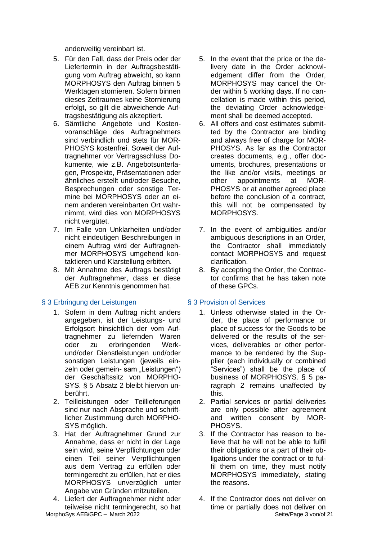anderweitig vereinbart ist.

- 5. Für den Fall, dass der Preis oder der Liefertermin in der Auftragsbestätigung vom Auftrag abweicht, so kann MORPHOSYS den Auftrag binnen 5 Werktagen stornieren. Sofern binnen dieses Zeitraumes keine Stornierung erfolgt, so gilt die abweichende Auftragsbestätigung als akzeptiert.
- 6. Sämtliche Angebote und Kostenvoranschläge des Auftragnehmers sind verbindlich und stets für MOR-PHOSYS kostenfrei. Soweit der Auftragnehmer vor Vertragsschluss Dokumente, wie z.B. Angebotsunterlagen, Prospekte, Präsentationen oder ähnliches erstellt und/oder Besuche, Besprechungen oder sonstige Termine bei MORPHOSYS oder an einem anderen vereinbarten Ort wahrnimmt, wird dies von MORPHOSYS nicht vergütet.
- 7. Im Falle von Unklarheiten und/oder nicht eindeutigen Beschreibungen in einem Auftrag wird der Auftragnehmer MORPHOSYS umgehend kontaktieren und Klarstellung erbitten.
- 8. Mit Annahme des Auftrags bestätigt der Auftragnehmer, dass er diese AEB zur Kenntnis genommen hat.

# § 3 Erbringung der Leistungen § 3 Provision of Services

- 1. Sofern in dem Auftrag nicht anders angegeben, ist der Leistungs- und Erfolgsort hinsichtlich der vom Auftragnehmer zu liefernden Waren oder zu erbringenden Werkund/oder Dienstleistungen und/oder sonstigen Leistungen (jeweils einzeln oder gemein- sam "Leistungen") der Geschäftssitz von MORPHO-SYS. § 5 Absatz 2 bleibt hiervon unberührt.
- 2. Teilleistungen oder Teillieferungen sind nur nach Absprache und schriftlicher Zustimmung durch MORPHO-SYS möglich.
- 3. Hat der Auftragnehmer Grund zur Annahme, dass er nicht in der Lage sein wird, seine Verpflichtungen oder einen Teil seiner Verpflichtungen aus dem Vertrag zu erfüllen oder termingerecht zu erfüllen, hat er dies MORPHOSYS unverzüglich unter Angabe von Gründen mitzuteilen.
- 4. Liefert der Auftragnehmer nicht oder teilweise nicht termingerecht, so hat
- 5. In the event that the price or the delivery date in the Order acknowledgement differ from the Order, MORPHOSYS may cancel the Order within 5 working days. If no cancellation is made within this period, the deviating Order acknowledgement shall be deemed accepted.
- 6. All offers and cost estimates submitted by the Contractor are binding and always free of charge for MOR-PHOSYS. As far as the Contractor creates documents, e.g., offer documents, brochures, presentations or the like and/or visits, meetings or other appointments at MOR-PHOSYS or at another agreed place before the conclusion of a contract, this will not be compensated by MORPHOSYS.
- 7. In the event of ambiguities and/or ambiguous descriptions in an Order, the Contractor shall immediately contact MORPHOSYS and request clarification.
- 8. By accepting the Order, the Contractor confirms that he has taken note of these GPCs.

- 1. Unless otherwise stated in the Order, the place of performance or place of success for the Goods to be delivered or the results of the services, deliverables or other performance to be rendered by the Supplier (each individually or combined "Services") shall be the place of business of MORPHOSYS. § 5 paragraph 2 remains unaffected by this.
- 2. Partial services or partial deliveries are only possible after agreement and written consent by MOR-PHOSYS.
- 3. If the Contractor has reason to believe that he will not be able to fulfil their obligations or a part of their obligations under the contract or to fulfil them on time, they must notify MORPHOSYS immediately, stating the reasons.
- MorphoSys AEB/GPC March 2022 **Seite/Page 3 von/of 21** 4. If the Contractor does not deliver on time or partially does not deliver on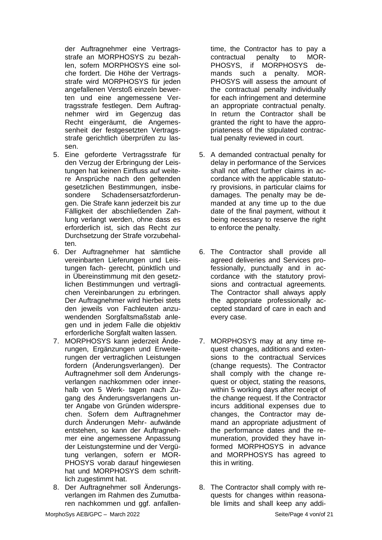der Auftragnehmer eine Vertragsstrafe an MORPHOSYS zu bezahlen, sofern MORPHOSYS eine solche fordert. Die Höhe der Vertragsstrafe wird MORPHOSYS für jeden angefallenen Verstoß einzeln bewerten und eine angemessene Vertragsstrafe festlegen. Dem Auftragnehmer wird im Gegenzug das Recht eingeräumt, die Angemessenheit der festgesetzten Vertragsstrafe gerichtlich überprüfen zu lassen.

- 5. Eine geforderte Vertragsstrafe für den Verzug der Erbringung der Leistungen hat keinen Einfluss auf weitere Ansprüche nach den geltenden gesetzlichen Bestimmungen, insbesondere Schadensersatzforderungen. Die Strafe kann jederzeit bis zur Fälligkeit der abschließenden Zahlung verlangt werden, ohne dass es erforderlich ist, sich das Recht zur Durchsetzung der Strafe vorzubehalten.
- 6. Der Auftragnehmer hat sämtliche vereinbarten Lieferungen und Leistungen fach- gerecht, pünktlich und in Übereinstimmung mit den gesetzlichen Bestimmungen und vertraglichen Vereinbarungen zu erbringen. Der Auftragnehmer wird hierbei stets den jeweils von Fachleuten anzuwendenden Sorgfaltsmaßstab anlegen und in jedem Falle die objektiv erforderliche Sorgfalt walten lassen.
- 7. MORPHOSYS kann jederzeit Änderungen, Ergänzungen und Erweiterungen der vertraglichen Leistungen fordern (Änderungsverlangen). Der Auftragnehmer soll dem Änderungsverlangen nachkommen oder innerhalb von 5 Werk- tagen nach Zugang des Änderungsverlangens unter Angabe von Gründen widersprechen. Sofern dem Auftragnehmer durch Änderungen Mehr- aufwände entstehen, so kann der Auftragnehmer eine angemessene Anpassung der Leistungstermine und der Vergütung verlangen, sofern er MOR-PHOSYS vorab darauf hingewiesen hat und MORPHOSYS dem schriftlich zugestimmt hat.
- 8. Der Auftragnehmer soll Änderungsverlangen im Rahmen des Zumutbaren nachkommen und ggf. anfallen-

time, the Contractor has to pay a contractual penalty to MOR-PHOSYS, if MORPHOSYS demands such a penalty. MOR-PHOSYS will assess the amount of the contractual penalty individually for each infringement and determine an appropriate contractual penalty. In return the Contractor shall be granted the right to have the appropriateness of the stipulated contractual penalty reviewed in court.

- 5. A demanded contractual penalty for delay in performance of the Services shall not affect further claims in accordance with the applicable statutory provisions, in particular claims for damages. The penalty may be demanded at any time up to the due date of the final payment, without it being necessary to reserve the right to enforce the penalty.
- 6. The Contractor shall provide all agreed deliveries and Services professionally, punctually and in accordance with the statutory provisions and contractual agreements. The Contractor shall always apply the appropriate professionally accepted standard of care in each and every case.
- 7. MORPHOSYS may at any time request changes, additions and extensions to the contractual Services (change requests). The Contractor shall comply with the change request or object, stating the reasons, within 5 working days after receipt of the change request. If the Contractor incurs additional expenses due to changes, the Contractor may demand an appropriate adjustment of the performance dates and the remuneration, provided they have informed MORPHOSYS in advance and MORPHOSYS has agreed to this in writing.
- 8. The Contractor shall comply with requests for changes within reasonable limits and shall keep any addi-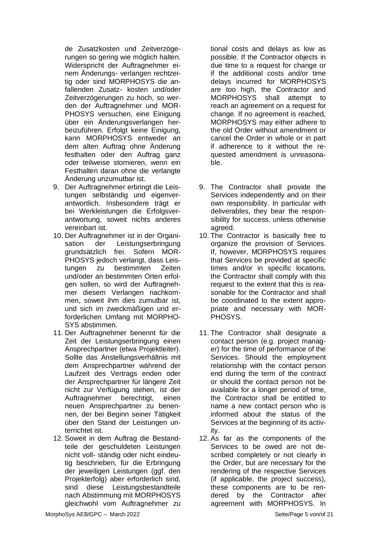de Zusatzkosten und Zeitverzögerungen so gering wie möglich halten. Widerspricht der Auftragnehmer einem Änderungs- verlangen rechtzeitig oder sind MORPHOSYS die anfallenden Zusatz- kosten und/oder Zeitverzögerungen zu hoch, so werden der Auftragnehmer und MOR-PHOSYS versuchen, eine Einigung über ein Änderungsverlangen herbeizuführen. Erfolgt keine Einigung, kann MORPHOSYS entweder an dem alten Auftrag ohne Änderung festhalten oder den Auftrag ganz oder teilweise stornieren, wenn ein Festhalten daran ohne die verlangte Änderung unzumutbar ist.

- 9. Der Auftragnehmer erbringt die Leistungen selbständig und eigenverantwortlich. Insbesondere trägt er bei Werkleistungen die Erfolgsverantwortung, soweit nichts anderes vereinbart ist.
- 10. Der Auftragnehmer ist in der Organisation der Leistungserbringung grundsätzlich frei. Sofern MOR-PHOSYS jedoch verlangt, dass Leistungen zu bestimmten Zeiten und/oder an bestimmten Orten erfolgen sollen, so wird der Auftragnehmer diesem Verlangen nachkommen, soweit ihm dies zumutbar ist, und sich im zweckmäßigen und erforderlichen Umfang mit MORPHO-SYS abstimmen.
- 11. Der Auftragnehmer benennt für die Zeit der Leistungserbringung einen Ansprechpartner (etwa Projektleiter). Sollte das Anstellungsverhältnis mit dem Ansprechpartner während der Laufzeit des Vertrags enden oder der Ansprechpartner für längere Zeit nicht zur Verfügung stehen, ist der Auftragnehmer berechtigt, einen neuen Ansprechpartner zu benennen, der bei Beginn seiner Tätigkeit über den Stand der Leistungen unterrichtet ist.
- 12. Soweit in dem Auftrag die Bestandteile der geschuldeten Leistungen nicht voll- ständig oder nicht eindeutig beschrieben, für die Erbringung der jeweiligen Leistungen (ggf. den Projekterfolg) aber erforderlich sind, sind diese Leistungsbestandteile nach Abstimmung mit MORPHOSYS gleichwohl vom Auftragnehmer zu

tional costs and delays as low as possible. If the Contractor objects in due time to a request for change or if the additional costs and/or time delays incurred for MORPHOSYS are too high, the Contractor and MORPHOSYS shall attempt to reach an agreement on a request for change. If no agreement is reached, MORPHOSYS may either adhere to the old Order without amendment or cancel the Order in whole or in part if adherence to it without the requested amendment is unreasonable.

- 9. The Contractor shall provide the Services independently and on their own responsibility. In particular with deliverables, they bear the responsibility for success, unless otherwise agreed.
- 10. The Contractor is basically free to organize the provision of Services. If, however, MORPHOSYS requires that Services be provided at specific times and/or in specific locations, the Contractor shall comply with this request to the extent that this is reasonable for the Contractor and shall be coordinated to the extent appropriate and necessary with MOR-PHOSYS.
- 11. The Contractor shall designate a contact person (e.g. project manager) for the time of performance of the Services. Should the employment relationship with the contact person end during the term of the contract or should the contact person not be available for a longer period of time, the Contractor shall be entitled to name a new contact person who is informed about the status of the Services at the beginning of its activity.
- 12. As far as the components of the Services to be owed are not described completely or not clearly in the Order, but are necessary for the rendering of the respective Services (if applicable, the project success), these components are to be rendered by the Contractor after agreement with MORPHOSYS. In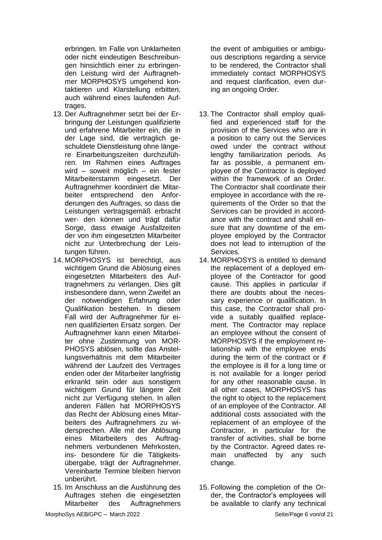erbringen. Im Falle von Unklarheiten oder nicht eindeutigen Beschreibungen hinsichtlich einer zu erbringenden Leistung wird der Auftragnehmer MORPHOSYS umgehend kontaktieren und Klarstellung erbitten, auch während eines laufenden Auftrages.

- 13. Der Auftragnehmer setzt bei der Erbringung der Leistungen qualifizierte und erfahrene Mitarbeiter ein, die in der Lage sind, die vertraglich geschuldete Dienstleistung ohne längere Einarbeitungszeiten durchzuführen. Im Rahmen eines Auftrages wird – soweit möglich – ein fester Mitarbeiterstamm eingesetzt. Der Auftragnehmer koordiniert die Mitarbeiter entsprechend den Anforderungen des Auftrages, so dass die Leistungen vertragsgemäß erbracht wer- den können und trägt dafür Sorge, dass etwaige Ausfallzeiten der von ihm eingesetzten Mitarbeiter nicht zur Unterbrechung der Leistungen führen.
- 14. MORPHOSYS ist berechtigt, aus wichtigem Grund die Ablösung eines eingesetzten Mitarbeiters des Auftragnehmers zu verlangen. Dies gilt insbesondere dann, wenn Zweifel an der notwendigen Erfahrung oder Qualifikation bestehen. In diesem Fall wird der Auftragnehmer für einen qualifizierten Ersatz sorgen. Der Auftragnehmer kann einen Mitarbeiter ohne Zustimmung von MOR-PHOSYS ablösen, sollte das Anstellungsverhältnis mit dem Mitarbeiter während der Laufzeit des Vertrages enden oder der Mitarbeiter langfristig erkrankt sein oder aus sonstigem wichtigem Grund für längere Zeit nicht zur Verfügung stehen. In allen anderen Fällen hat MORPHOSYS das Recht der Ablösung eines Mitarbeiters des Auftragnehmers zu widersprechen. Alle mit der Ablösung eines Mitarbeiters des Auftragnehmers verbundenen Mehrkosten, ins- besondere für die Tätigkeitsübergabe, trägt der Auftragnehmer. Vereinbarte Termine bleiben hiervon unberührt.
- 15. Im Anschluss an die Ausführung des Auftrages stehen die eingesetzten Mitarbeiter des Auftragnehmers

the event of ambiguities or ambiguous descriptions regarding a service to be rendered, the Contractor shall immediately contact MORPHOSYS and request clarification, even during an ongoing Order.

- 13. The Contractor shall employ qualified and experienced staff for the provision of the Services who are in a position to carry out the Services owed under the contract without lengthy familiarization periods. As far as possible, a permanent employee of the Contractor is deployed within the framework of an Order. The Contractor shall coordinate their employee in accordance with the requirements of the Order so that the Services can be provided in accordance with the contract and shall ensure that any downtime of the employee employed by the Contractor does not lead to interruption of the Services.
- 14. MORPHOSYS is entitled to demand the replacement of a deployed employee of the Contractor for good cause. This applies in particular if there are doubts about the necessary experience or qualification. In this case, the Contractor shall provide a suitably qualified replacement. The Contractor may replace an employee without the consent of MORPHOSYS if the employment relationship with the employee ends during the term of the contract or if the employee is ill for a long time or is not available for a longer period for any other reasonable cause. In all other cases, MORPHOSYS has the right to object to the replacement of an employee of the Contractor. All additional costs associated with the replacement of an employee of the Contractor, in particular for the transfer of activities, shall be borne by the Contractor. Agreed dates remain unaffected by any such change.
- 15. Following the completion of the Order, the Contractor's employees will be available to clarify any technical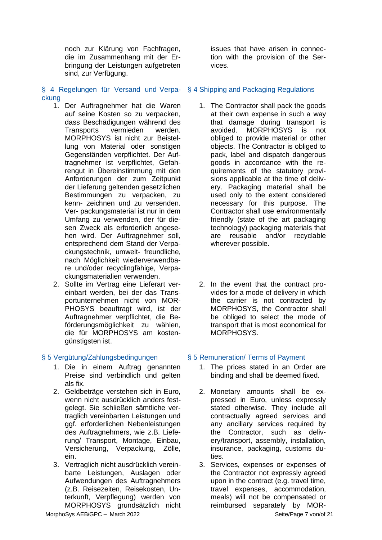noch zur Klärung von Fachfragen, die im Zusammenhang mit der Erbringung der Leistungen aufgetreten sind, zur Verfügung.

- ckung
	- 1. Der Auftragnehmer hat die Waren auf seine Kosten so zu verpacken, dass Beschädigungen während des Transports vermieden werden. MORPHOSYS ist nicht zur Beistellung von Material oder sonstigen Gegenständen verpflichtet. Der Auftragnehmer ist verpflichtet, Gefahrengut in Übereinstimmung mit den Anforderungen der zum Zeitpunkt der Lieferung geltenden gesetzlichen Bestimmungen zu verpacken, zu kenn- zeichnen und zu versenden. Ver- packungsmaterial ist nur in dem Umfang zu verwenden, der für diesen Zweck als erforderlich angesehen wird. Der Auftragnehmer soll, entsprechend dem Stand der Verpackungstechnik, umwelt- freundliche, nach Möglichkeit wiederverwendbare und/oder recyclingfähige, Verpackungsmaterialien verwenden.
	- 2. Sollte im Vertrag eine Lieferart vereinbart werden, bei der das Transportunternehmen nicht von MOR-PHOSYS beauftragt wird, ist der Auftragnehmer verpflichtet, die Beförderungsmöglichkeit zu wählen, die für MORPHOSYS am kostengünstigsten ist.

- 1. Die in einem Auftrag genannten Preise sind verbindlich und gelten als fix.
- 2. Geldbeträge verstehen sich in Euro, wenn nicht ausdrücklich anders festgelegt. Sie schließen sämtliche vertraglich vereinbarten Leistungen und ggf. erforderlichen Nebenleistungen des Auftragnehmers, wie z.B. Lieferung/ Transport, Montage, Einbau, Versicherung, Verpackung, Zölle, ein.
- 3. Vertraglich nicht ausdrücklich vereinbarte Leistungen, Auslagen oder Aufwendungen des Auftragnehmers (z.B. Reisezeiten, Reisekosten, Unterkunft, Verpflegung) werden von MORPHOSYS grundsätzlich nicht

issues that have arisen in connection with the provision of the Services.

### § 4 Regelungen für Versand und Verpa-§ 4 Shipping and Packaging Regulations

- 1. The Contractor shall pack the goods at their own expense in such a way that damage during transport is avoided. MORPHOSYS is not obliged to provide material or other objects. The Contractor is obliged to pack, label and dispatch dangerous goods in accordance with the requirements of the statutory provisions applicable at the time of delivery. Packaging material shall be used only to the extent considered necessary for this purpose. The Contractor shall use environmentally friendly (state of the art packaging technology) packaging materials that are reusable and/or recyclable wherever possible.
- 2. In the event that the contract provides for a mode of delivery in which the carrier is not contracted by MORPHOSYS, the Contractor shall be obliged to select the mode of transport that is most economical for MORPHOSYS.

### § 5 Vergütung/Zahlungsbedingungen § 5 Remuneration/ Terms of Payment

- 1. The prices stated in an Order are binding and shall be deemed fixed.
- 2. Monetary amounts shall be expressed in Euro, unless expressly stated otherwise. They include all contractually agreed services and any ancillary services required by the Contractor, such as delivery/transport, assembly, installation, insurance, packaging, customs duties.
- 3. Services, expenses or expenses of the Contractor not expressly agreed upon in the contract (e.g. travel time, travel expenses, accommodation, meals) will not be compensated or reimbursed separately by MOR-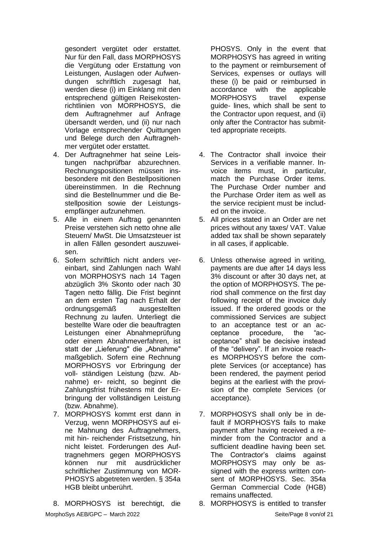gesondert vergütet oder erstattet. Nur für den Fall, dass MORPHOSYS die Vergütung oder Erstattung von Leistungen, Auslagen oder Aufwendungen schriftlich zugesagt hat, werden diese (i) im Einklang mit den entsprechend gültigen Reisekostenrichtlinien von MORPHOSYS, die dem Auftragnehmer auf Anfrage übersandt werden, und (ii) nur nach Vorlage entsprechender Quittungen und Belege durch den Auftragnehmer vergütet oder erstattet.

- 4. Der Auftragnehmer hat seine Leistungen nachprüfbar abzurechnen. Rechnungspositionen müssen insbesondere mit den Bestellpositionen übereinstimmen. In die Rechnung sind die Bestellnummer und die Bestellposition sowie der Leistungsempfänger aufzunehmen.
- 5. Alle in einem Auftrag genannten Preise verstehen sich netto ohne alle Steuern/ MwSt. Die Umsatzsteuer ist in allen Fällen gesondert auszuweisen.
- 6. Sofern schriftlich nicht anders vereinbart, sind Zahlungen nach Wahl von MORPHOSYS nach 14 Tagen abzüglich 3% Skonto oder nach 30 Tagen netto fällig. Die Frist beginnt an dem ersten Tag nach Erhalt der ordnungsgemäß ausgestellten Rechnung zu laufen. Unterliegt die bestellte Ware oder die beauftragten Leistungen einer Abnahmeprüfung oder einem Abnahmeverfahren, ist statt der "Lieferung" die "Abnahme" maßgeblich. Sofern eine Rechnung MORPHOSYS vor Erbringung der voll- ständigen Leistung (bzw. Abnahme) er- reicht, so beginnt die Zahlungsfrist frühestens mit der Erbringung der vollständigen Leistung (bzw. Abnahme).
- 7. MORPHOSYS kommt erst dann in Verzug, wenn MORPHOSYS auf eine Mahnung des Auftragnehmers, mit hin- reichender Fristsetzung, hin nicht leistet. Forderungen des Auftragnehmers gegen MORPHOSYS können nur mit ausdrücklicher schriftlicher Zustimmung von MOR-PHOSYS abgetreten werden. § 354a HGB bleibt unberührt.

MorphoSys AEB/GPC – March 2022 Seite/Page 8 von/of 21 8. MORPHOSYS ist berechtigt, die

PHOSYS. Only in the event that MORPHOSYS has agreed in writing to the payment or reimbursement of Services, expenses or outlays will these (i) be paid or reimbursed in accordance with the applicable MORPHOSYS travel expense guide- lines, which shall be sent to the Contractor upon request, and (ii) only after the Contractor has submitted appropriate receipts.

- 4. The Contractor shall invoice their Services in a verifiable manner. Invoice items must, in particular, match the Purchase Order items. The Purchase Order number and the Purchase Order item as well as the service recipient must be included on the invoice.
- 5. All prices stated in an Order are net prices without any taxes/ VAT. Value added tax shall be shown separately in all cases, if applicable.
- 6. Unless otherwise agreed in writing, payments are due after 14 days less 3% discount or after 30 days net, at the option of MORPHOSYS. The period shall commence on the first day following receipt of the invoice duly issued. If the ordered goods or the commissioned Services are subject to an acceptance test or an acceptance procedure, the "acceptance" shall be decisive instead of the "delivery". If an invoice reaches MORPHOSYS before the complete Services (or acceptance) has been rendered, the payment period begins at the earliest with the provision of the complete Services (or acceptance).
- 7. MORPHOSYS shall only be in default if MORPHOSYS fails to make payment after having received a reminder from the Contractor and a sufficient deadline having been set. The Contractor's claims against MORPHOSYS may only be assigned with the express written consent of MORPHOSYS. Sec. 354a German Commercial Code (HGB) remains unaffected.<br>8. MORPHOSYS is entitled to transfer
-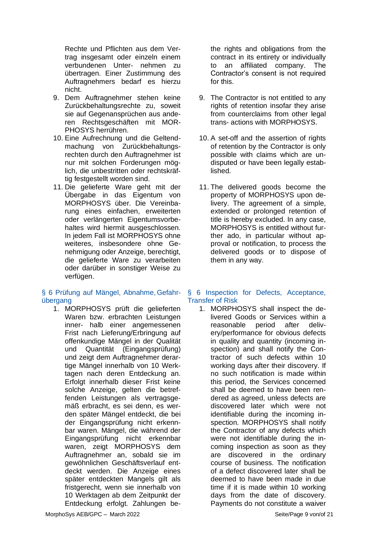Rechte und Pflichten aus dem Vertrag insgesamt oder einzeln einem verbundenen Unter- nehmen zu übertragen. Einer Zustimmung des Auftragnehmers bedarf es hierzu nicht.

- 9. Dem Auftragnehmer stehen keine Zurückbehaltungsrechte zu, soweit sie auf Gegenansprüchen aus anderen Rechtsgeschäften mit MOR-PHOSYS herrühren.
- 10. Eine Aufrechnung und die Geltendmachung von Zurückbehaltungsrechten durch den Auftragnehmer ist nur mit solchen Forderungen möglich, die unbestritten oder rechtskräftig festgestellt worden sind.
- 11. Die gelieferte Ware geht mit der Übergabe in das Eigentum von MORPHOSYS über. Die Vereinbarung eines einfachen, erweiterten oder verlängerten Eigentumsvorbehaltes wird hiermit ausgeschlossen. In jedem Fall ist MORPHOSYS ohne weiteres, insbesondere ohne Genehmigung oder Anzeige, berechtigt, die gelieferte Ware zu verarbeiten oder darüber in sonstiger Weise zu verfügen.

# § 6 Prüfung auf Mängel, Abnahme, Gefahrübergang

1. MORPHOSYS prüft die gelieferten Waren bzw. erbrachten Leistungen inner- halb einer angemessenen Frist nach Lieferung/Erbringung auf offenkundige Mängel in der Qualität und Quantität (Eingangsprüfung) und zeigt dem Auftragnehmer derartige Mängel innerhalb von 10 Werktagen nach deren Entdeckung an. Erfolgt innerhalb dieser Frist keine solche Anzeige, gelten die betreffenden Leistungen als vertragsgemäß erbracht, es sei denn, es werden später Mängel entdeckt, die bei der Eingangsprüfung nicht erkennbar waren. Mängel, die während der Eingangsprüfung nicht erkennbar waren, zeigt MORPHOSYS dem Auftragnehmer an, sobald sie im gewöhnlichen Geschäftsverlauf entdeckt werden. Die Anzeige eines später entdeckten Mangels gilt als fristgerecht, wenn sie innerhalb von 10 Werktagen ab dem Zeitpunkt der Entdeckung erfolgt. Zahlungen bethe rights and obligations from the contract in its entirety or individually to an affiliated company. The Contractor's consent is not required for this.

- 9. The Contractor is not entitled to any rights of retention insofar they arise from counterclaims from other legal trans- actions with MORPHOSYS.
- 10. A set-off and the assertion of rights of retention by the Contractor is only possible with claims which are undisputed or have been legally established.
- 11. The delivered goods become the property of MORPHOSYS upon delivery. The agreement of a simple, extended or prolonged retention of title is hereby excluded. In any case, MORPHOSYS is entitled without further ado, in particular without approval or notification, to process the delivered goods or to dispose of them in any way.

### § 6 Inspection for Defects, Acceptance, Transfer of Risk

1. MORPHOSYS shall inspect the delivered Goods or Services within a reasonable period after delivery/performance for obvious defects in quality and quantity (incoming inspection) and shall notify the Contractor of such defects within 10 working days after their discovery. If no such notification is made within this period, the Services concerned shall be deemed to have been rendered as agreed, unless defects are discovered later which were not identifiable during the incoming inspection. MORPHOSYS shall notify the Contractor of any defects which were not identifiable during the incoming inspection as soon as they are discovered in the ordinary course of business. The notification of a defect discovered later shall be deemed to have been made in due time if it is made within 10 working days from the date of discovery. Payments do not constitute a waiver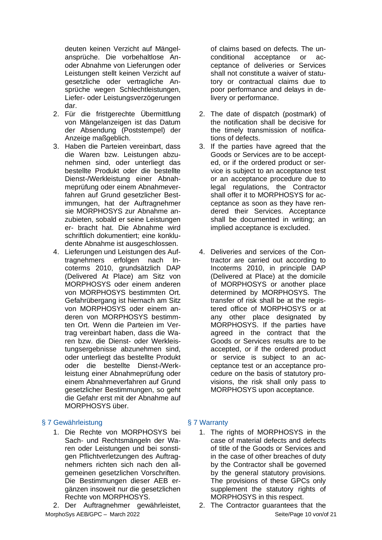deuten keinen Verzicht auf Mängelansprüche. Die vorbehaltlose Anoder Abnahme von Lieferungen oder Leistungen stellt keinen Verzicht auf gesetzliche oder vertragliche Ansprüche wegen Schlechtleistungen, Liefer- oder Leistungsverzögerungen dar.

- 2. Für die fristgerechte Übermittlung von Mängelanzeigen ist das Datum der Absendung (Poststempel) der Anzeige maßgeblich.
- 3. Haben die Parteien vereinbart, dass die Waren bzw. Leistungen abzunehmen sind, oder unterliegt das bestellte Produkt oder die bestellte Dienst-/Werkleistung einer Abnahmeprüfung oder einem Abnahmeverfahren auf Grund gesetzlicher Bestimmungen, hat der Auftragnehmer sie MORPHOSYS zur Abnahme anzubieten, sobald er seine Leistungen er- bracht hat. Die Abnahme wird schriftlich dokumentiert; eine konkludente Abnahme ist ausgeschlossen.
- 4. Lieferungen und Leistungen des Auftragnehmers erfolgen nach Incoterms 2010, grundsätzlich DAP (Delivered At Place) am Sitz von MORPHOSYS oder einem anderen von MORPHOSYS bestimmten Ort. Gefahrübergang ist hiernach am Sitz von MORPHOSYS oder einem anderen von MORPHOSYS bestimmten Ort. Wenn die Parteien im Vertrag vereinbart haben, dass die Waren bzw. die Dienst- oder Werkleistungsergebnisse abzunehmen sind, oder unterliegt das bestellte Produkt oder die bestellte Dienst-/Werkleistung einer Abnahmeprüfung oder einem Abnahmeverfahren auf Grund gesetzlicher Bestimmungen, so geht die Gefahr erst mit der Abnahme auf MORPHOSYS über.

# § 7 Gewährleistung is a senator § 7 Warranty

1. Die Rechte von MORPHOSYS bei Sach- und Rechtsmängeln der Waren oder Leistungen und bei sonstigen Pflichtverletzungen des Auftragnehmers richten sich nach den allgemeinen gesetzlichen Vorschriften. Die Bestimmungen dieser AEB ergänzen insoweit nur die gesetzlichen Rechte von MORPHOSYS.

2. Der Auftragnehmer gewährleistet, 2. The Contractor guarantees that the

of claims based on defects. The unconditional acceptance or acceptance of deliveries or Services shall not constitute a waiver of statutory or contractual claims due to poor performance and delays in delivery or performance.

- 2. The date of dispatch (postmark) of the notification shall be decisive for the timely transmission of notifications of defects.
- 3. If the parties have agreed that the Goods or Services are to be accepted, or if the ordered product or service is subject to an acceptance test or an acceptance procedure due to legal regulations, the Contractor shall offer it to MORPHOSYS for acceptance as soon as they have rendered their Services. Acceptance shall be documented in writing; an implied acceptance is excluded.
- 4. Deliveries and services of the Contractor are carried out according to Incoterms 2010, in principle DAP (Delivered at Place) at the domicile of MORPHOSYS or another place determined by MORPHOSYS. The transfer of risk shall be at the registered office of MORPHOSYS or at any other place designated by MORPHOSYS. If the parties have agreed in the contract that the Goods or Services results are to be accepted, or if the ordered product or service is subject to an acceptance test or an acceptance procedure on the basis of statutory provisions, the risk shall only pass to MORPHOSYS upon acceptance.

- 1. The rights of MORPHOSYS in the case of material defects and defects of title of the Goods or Services and in the case of other breaches of duty by the Contractor shall be governed by the general statutory provisions. The provisions of these GPCs only supplement the statutory rights of MORPHOSYS in this respect.
- MorphoSys AEB/GPC March 2022 Seite/Page 10 von/of 21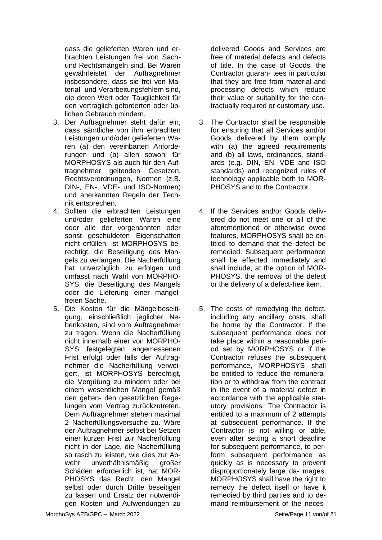dass die gelieferten Waren und erbrachten Leistungen frei von Sachund Rechtsmängeln sind. Bei Waren gewährleistet der Auftragnehmer insbesondere, dass sie frei von Material- und Verarbeitungsfehlern sind, die deren Wert oder Tauglichkeit für den vertraglich geforderten oder üblichen Gebrauch mindern.

- 3. Der Auftragnehmer steht dafür ein, dass sämtliche von ihm erbrachten Leistungen und/oder gelieferten Waren (a) den vereinbarten Anforderungen und (b) allen sowohl für MORPHOSYS als auch für den Auftragnehmer geltenden Gesetzen, Rechtsverordnungen, Normen (z.B. DIN-, EN-, VDE- und ISO-Normen) und anerkannten Regeln der Technik entsprechen.
- 4. Sollten die erbrachten Leistungen und/oder gelieferten Waren eine oder alle der vorgenannten oder sonst geschuldeten Eigenschaften nicht erfüllen, ist MORPHOSYS berechtigt, die Beseitigung des Mangels zu verlangen. Die Nacherfüllung hat unverzüglich zu erfolgen und umfasst nach Wahl von MORPHO-SYS, die Beseitigung des Mangels oder die Lieferung einer mangelfreien Sache.
- 5. Die Kosten für die Mängelbeseitigung, einschließlich jeglicher Nebenkosten, sind vom Auftragnehmer zu tragen. Wenn die Nacherfüllung nicht innerhalb einer von MORPHO-SYS festgelegten angemessenen Frist erfolgt oder falls der Auftragnehmer die Nacherfüllung verweigert, ist MORPHOSYS berechtigt, die Vergütung zu mindern oder bei einem wesentlichen Mangel gemäß den gelten- den gesetzlichen Regelungen vom Vertrag zurückzutreten. Dem Auftragnehmer stehen maximal 2 Nacherfüllungsversuche zu. Wäre der Auftragnehmer selbst bei Setzen einer kurzen Frist zur Nacherfüllung nicht in der Lage, die Nacherfüllung so rasch zu leisten, wie dies zur Abwehr unverhältnismäßig großer Schäden erforderlich ist, hat MOR-PHOSYS das Recht, den Mangel selbst oder durch Dritte beseitigen zu lassen und Ersatz der notwendigen Kosten und Aufwendungen zu

delivered Goods and Services are free of material defects and defects of title. In the case of Goods, the Contractor guaran- tees in particular that they are free from material and processing defects which reduce their value or suitability for the contractually required or customary use.

- 3. The Contractor shall be responsible for ensuring that all Services and/or Goods delivered by them comply with (a) the agreed requirements and (b) all laws, ordinances, standards (e.g. DIN, EN, VDE and ISO standards) and recognized rules of technology applicable both to MOR-PHOSYS and to the Contractor.
- 4. If the Services and/or Goods delivered do not meet one or all of the aforementioned or otherwise owed features, MORPHOSYS shall be entitled to demand that the defect be remedied. Subsequent performance shall be effected immediately and shall include, at the option of MOR-PHOSYS, the removal of the defect or the delivery of a defect-free item.
- 5. The costs of remedying the defect, including any ancillary costs, shall be borne by the Contractor. If the subsequent performance does not take place within a reasonable period set by MORPHOSYS or if the Contractor refuses the subsequent performance, MORPHOSYS shall be entitled to reduce the remuneration or to withdraw from the contract in the event of a material defect in accordance with the applicable statutory provisions. The Contractor is entitled to a maximum of 2 attempts at subsequent performance. If the Contractor is not willing or able, even after setting a short deadline for subsequent performance, to perform subsequent performance as quickly as is necessary to prevent disproportionately large da- mages, MORPHOSYS shall have the right to remedy the defect itself or have it remedied by third parties and to demand reimbursement of the neces-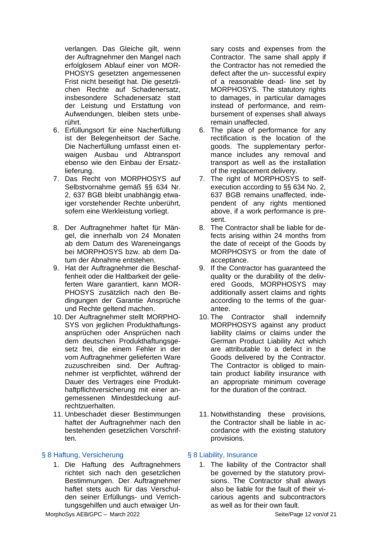verlangen. Das Gleiche gilt, wenn der Auftragnehmer den Mangel nach erfolglosem Ablauf einer von MOR-PHOSYS gesetzten angemessenen Frist nicht beseitigt hat. Die gesetzlichen Rechte auf Schadenersatz, insbesondere Schadenersatz statt der Leistung und Erstattung von Aufwendungen, bleiben stets unberührt.

- 6. Erfüllungsort für eine Nacherfüllung ist der Belegenheitsort der Sache. Die Nacherfüllung umfasst einen etwaigen Ausbau und Abtransport ebenso wie den Einbau der Ersatzlieferung.
- 7. Das Recht von MORPHOSYS auf Selbstvornahme gemäß §§ 634 Nr. 2, 637 BGB bleibt unabhängig etwaiger vorstehender Rechte unberührt, sofern eine Werkleistung vorliegt.
- 8. Der Auftragnehmer haftet für Mängel, die innerhalb von 24 Monaten ab dem Datum des Wareneingangs bei MORPHOSYS bzw. ab dem Datum der Abnahme entstehen.
- 9. Hat der Auftragnehmer die Beschaffenheit oder die Haltbarkeit der gelieferten Ware garantiert, kann MOR-PHOSYS zusätzlich nach den Bedingungen der Garantie Ansprüche und Rechte geltend machen.
- 10. Der Auftragnehmer stellt MORPHO-SYS von jeglichen Produkthaftungsansprüchen oder Ansprüchen nach dem deutschen Produkthaftungsgesetz frei, die einem Fehler in der vom Auftragnehmer gelieferten Ware zuzuschreiben sind. Der Auftragnehmer ist verpflichtet, während der Dauer des Vertrages eine Produkthaftpflichtversicherung mit einer angemessenen Mindestdeckung aufrechtzuerhalten.
- 11. Unbeschadet dieser Bestimmungen haftet der Auftragnehmer nach den bestehenden gesetzlichen Vorschriften.

### § 8 Haftung, Versicherung § 8 Liability, Insurance

1. Die Haftung des Auftragnehmers richtet sich nach den gesetzlichen Bestimmungen. Der Auftragnehmer haftet stets auch für das Verschulden seiner Erfüllungs- und Verrichtungsgehilfen und auch etwaiger Unsary costs and expenses from the Contractor. The same shall apply if the Contractor has not remedied the defect after the un- successful expiry of a reasonable dead- line set by MORPHOSYS. The statutory rights to damages, in particular damages instead of performance, and reimbursement of expenses shall always remain unaffected.

- 6. The place of performance for any rectification is the location of the goods. The supplementary performance includes any removal and transport as well as the installation of the replacement delivery.
- 7. The right of MORPHOSYS to selfexecution according to §§ 634 No. 2, 637 BGB remains unaffected, independent of any rights mentioned above, if a work performance is present.
- 8. The Contractor shall be liable for defects arising within 24 months from the date of receipt of the Goods by MORPHOSYS or from the date of acceptance.
- 9. If the Contractor has guaranteed the quality or the durability of the delivered Goods, MORPHOSYS may additionally assert claims and rights according to the terms of the guarantee.
- 10. The Contractor shall indemnify MORPHOSYS against any product liability claims or claims under the German Product Liability Act which are attributable to a defect in the Goods delivered by the Contractor. The Contractor is obliged to maintain product liability insurance with an appropriate minimum coverage for the duration of the contract.
- 11. Notwithstanding these provisions, the Contractor shall be liable in accordance with the existing statutory provisions.

1. The liability of the Contractor shall be governed by the statutory provisions. The Contractor shall always also be liable for the fault of their vicarious agents and subcontractors as well as for their own fault.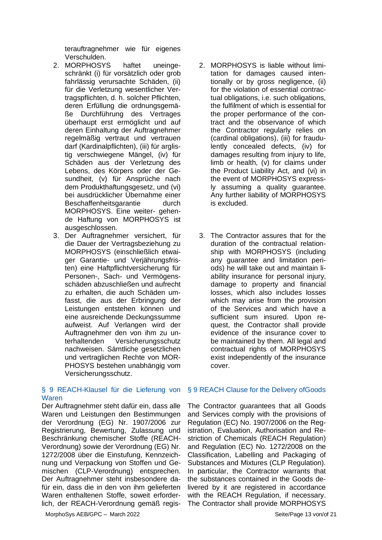terauftragnehmer wie für eigenes Verschulden.

- 2. MORPHOSYS haftet uneingeschränkt (i) für vorsätzlich oder grob fahrlässig verursachte Schäden, (ii) für die Verletzung wesentlicher Vertragspflichten, d. h. solcher Pflichten, deren Erfüllung die ordnungsgemäße Durchführung des Vertrages überhaupt erst ermöglicht und auf deren Einhaltung der Auftragnehmer regelmäßig vertraut und vertrauen darf (Kardinalpflichten), (iii) für arglistig verschwiegene Mängel, (iv) für Schäden aus der Verletzung des Lebens, des Körpers oder der Gesundheit, (v) für Ansprüche nach dem Produkthaftungsgesetz, und (vi) bei ausdrücklicher Übernahme einer Beschaffenheitsgarantie durch MORPHOSYS. Eine weiter- gehende Haftung von MORPHOSYS ist ausgeschlossen.
- 3. Der Auftragnehmer versichert, für die Dauer der Vertragsbeziehung zu MORPHOSYS (einschließlich etwaiger Garantie- und Verjährungsfristen) eine Haftpflichtversicherung für Personen-, Sach- und Vermögensschäden abzuschließen und aufrecht zu erhalten, die auch Schäden umfasst, die aus der Erbringung der Leistungen entstehen können und eine ausreichende Deckungssumme aufweist. Auf Verlangen wird der Auftragnehmer den von ihm zu unterhaltenden Versicherungsschutz nachweisen. Sämtliche gesetzlichen und vertraglichen Rechte von MOR-PHOSYS bestehen unabhängig vom Versicherungsschutz.

### § 9 REACH-Klausel für die Lieferung von Waren

Der Auftragnehmer steht dafür ein, dass alle Waren und Leistungen den Bestimmungen der Verordnung (EG) Nr. 1907/2006 zur Registrierung, Bewertung, Zulassung und Beschränkung chemischer Stoffe (REACH-Verordnung) sowie der Verordnung (EG) Nr. 1272/2008 über die Einstufung, Kennzeichnung und Verpackung von Stoffen und Gemischen (CLP-Verordnung) entsprechen. Der Auftragnehmer steht insbesondere dafür ein, dass die in den von ihm gelieferten Waren enthaltenen Stoffe, soweit erforderlich, der REACH-Verordnung gemäß regis-

- 2. MORPHOSYS is liable without limitation for damages caused intentionally or by gross negligence, (ii) for the violation of essential contractual obligations, i.e. such obligations, the fulfilment of which is essential for the proper performance of the contract and the observance of which the Contractor regularly relies on (cardinal obligations), (iii) for fraudulently concealed defects, (iv) for damages resulting from injury to life, limb or health, (v) for claims under the Product Liability Act, and (vi) in the event of MORPHOSYS expressly assuming a quality guarantee. Any further liability of MORPHOSYS is excluded.
- 3. The Contractor assures that for the duration of the contractual relationship with MORPHOSYS (including any guarantee and limitation periods) he will take out and maintain liability insurance for personal injury, damage to property and financial losses, which also includes losses which may arise from the provision of the Services and which have a sufficient sum insured. Upon request, the Contractor shall provide evidence of the insurance cover to be maintained by them. All legal and contractual rights of MORPHOSYS exist independently of the insurance cover.

### § 9 REACH Clause for the Delivery ofGoods

The Contractor guarantees that all Goods and Services comply with the provisions of Regulation (EC) No. 1907/2006 on the Registration, Evaluation, Authorisation and Restriction of Chemicals (REACH Regulation) and Regulation (EC) No. 1272/2008 on the Classification, Labelling and Packaging of Substances and Mixtures (CLP Regulation). In particular, the Contractor warrants that the substances contained in the Goods delivered by it are registered in accordance with the REACH Regulation, if necessary. The Contractor shall provide MORPHOSYS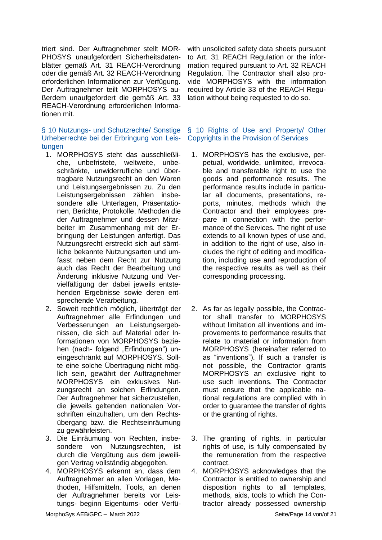triert sind. Der Auftragnehmer stellt MOR-PHOSYS unaufgefordert Sicherheitsdatenblätter gemäß Art. 31 REACH-Verordnung oder die gemäß Art. 32 REACH-Verordnung erforderlichen Informationen zur Verfügung. Der Auftragnehmer teilt MORPHOSYS außerdem unaufgefordert die gemäß Art. 33 REACH-Verordnung erforderlichen Informationen mit.

### § 10 Nutzungs- und Schutzrechte/ Sonstige Urheberrechte bei der Erbringung von Leistungen

- 1. MORPHOSYS steht das ausschließliche, unbefristete, weltweite, unbeschränkte, unwiderrufliche und übertragbare Nutzungsrecht an den Waren und Leistungsergebnissen zu. Zu den Leistungsergebnissen zählen insbesondere alle Unterlagen, Präsentationen, Berichte, Protokolle, Methoden die der Auftragnehmer und dessen Mitarbeiter im Zusammenhang mit der Erbringung der Leistungen anfertigt. Das Nutzungsrecht erstreckt sich auf sämtliche bekannte Nutzungsarten und umfasst neben dem Recht zur Nutzung auch das Recht der Bearbeitung und Änderung inklusive Nutzung und Vervielfältigung der dabei jeweils entstehenden Ergebnisse sowie deren entsprechende Verarbeitung.
- 2. Soweit rechtlich möglich, überträgt der Auftragnehmer alle Erfindungen und Verbesserungen an Leistungsergebnissen, die sich auf Material oder Informationen von MORPHOSYS beziehen (nach- folgend "Erfindungen") uneingeschränkt auf MORPHOSYS. Sollte eine solche Übertragung nicht möglich sein, gewährt der Auftragnehmer MORPHOSYS ein exklusives Nutzungsrecht an solchen Erfindungen. Der Auftragnehmer hat sicherzustellen, die jeweils geltenden nationalen Vorschriften einzuhalten, um den Rechtsübergang bzw. die Rechtseinräumung zu gewährleisten.
- 3. Die Einräumung von Rechten, insbesondere von Nutzungsrechten, ist durch die Vergütung aus dem jeweiligen Vertrag vollständig abgegolten.
- 4. MORPHOSYS erkennt an, dass dem Auftragnehmer an allen Vorlagen, Methoden, Hilfsmitteln, Tools, an denen der Auftragnehmer bereits vor Leistungs- beginn Eigentums- oder Verfü-

with unsolicited safety data sheets pursuant to Art. 31 REACH Regulation or the information required pursuant to Art. 32 REACH Regulation. The Contractor shall also provide MORPHOSYS with the information required by Article 33 of the REACH Regulation without being requested to do so.

### § 10 Rights of Use and Property/ Other Copyrights in the Provision of Services

- 1. MORPHOSYS has the exclusive, perpetual, worldwide, unlimited, irrevocable and transferable right to use the goods and performance results. The performance results include in particular all documents, presentations, reports, minutes, methods which the Contractor and their employees prepare in connection with the performance of the Services. The right of use extends to all known types of use and, in addition to the right of use, also includes the right of editing and modification, including use and reproduction of the respective results as well as their corresponding processing.
- 2. As far as legally possible, the Contractor shall transfer to MORPHOSYS without limitation all inventions and improvements to performance results that relate to material or information from MORPHOSYS (hereinafter referred to as "inventions"). If such a transfer is not possible, the Contractor grants MORPHOSYS an exclusive right to use such inventions. The Contractor must ensure that the applicable national regulations are complied with in order to guarantee the transfer of rights or the granting of rights.
- 3. The granting of rights, in particular rights of use, is fully compensated by the remuneration from the respective contract.
- 4. MORPHOSYS acknowledges that the Contractor is entitled to ownership and disposition rights to all templates, methods, aids, tools to which the Contractor already possessed ownership

MorphoSys AEB/GPC – March 2022 **Seite/Page 14 von/of 21**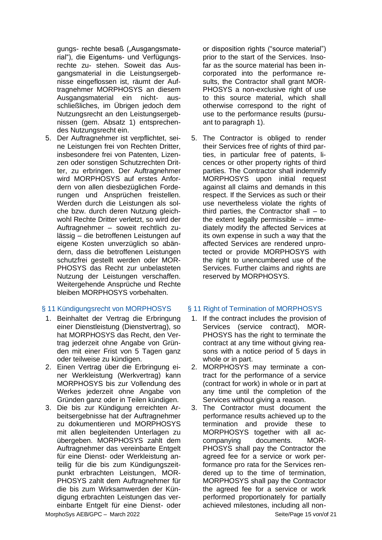gungs- rechte besaß ("Ausgangsmaterial"), die Eigentums- und Verfügungsrechte zu- stehen. Soweit das Ausgangsmaterial in die Leistungsergebnisse eingeflossen ist, räumt der Auftragnehmer MORPHOSYS an diesem Ausgangsmaterial ein nicht- ausschließliches, im Übrigen jedoch dem Nutzungsrecht an den Leistungsergebnissen (gem. Absatz 1) entsprechendes Nutzungsrecht ein.

5. Der Auftragnehmer ist verpflichtet, seine Leistungen frei von Rechten Dritter, insbesondere frei von Patenten, Lizenzen oder sonstigen Schutzrechten Dritter, zu erbringen. Der Auftragnehmer wird MORPHOSYS auf erstes Anfordern von allen diesbezüglichen Forderungen und Ansprüchen freistellen. Werden durch die Leistungen als solche bzw. durch deren Nutzung gleichwohl Rechte Dritter verletzt, so wird der Auftragnehmer – soweit rechtlich zulässig – die betroffenen Leistungen auf eigene Kosten unverzüglich so abändern, dass die betroffenen Leistungen schutzfrei gestellt werden oder MOR-PHOSYS das Recht zur unbelasteten Nutzung der Leistungen verschaffen. Weitergehende Ansprüche und Rechte bleiben MORPHOSYS vorbehalten.

- 1. Beinhaltet der Vertrag die Erbringung einer Dienstleistung (Dienstvertrag), so hat MORPHOSYS das Recht, den Vertrag jederzeit ohne Angabe von Gründen mit einer Frist von 5 Tagen ganz oder teilweise zu kündigen.
- 2. Einen Vertrag über die Erbringung einer Werkleistung (Werkvertrag) kann MORPHOSYS bis zur Vollendung des Werkes jederzeit ohne Angabe von Gründen ganz oder in Teilen kündigen.
- 3. Die bis zur Kündigung erreichten Arbeitsergebnisse hat der Auftragnehmer zu dokumentieren und MORPHOSYS mit allen begleitenden Unterlagen zu übergeben. MORPHOSYS zahlt dem Auftragnehmer das vereinbarte Entgelt für eine Dienst- oder Werkleistung anteilig für die bis zum Kündigungszeitpunkt erbrachten Leistungen, MOR-PHOSYS zahlt dem Auftragnehmer für die bis zum Wirksamwerden der Kündigung erbrachten Leistungen das vereinbarte Entgelt für eine Dienst- oder

or disposition rights ("source material") prior to the start of the Services. Insofar as the source material has been incorporated into the performance results, the Contractor shall grant MOR-PHOSYS a non-exclusive right of use to this source material, which shall otherwise correspond to the right of use to the performance results (pursuant to paragraph 1).

5. The Contractor is obliged to render their Services free of rights of third parties, in particular free of patents, licences or other property rights of third parties. The Contractor shall indemnify MORPHOSYS upon initial request against all claims and demands in this respect. If the Services as such or their use nevertheless violate the rights of third parties, the Contractor shall – to the extent legally permissible – immediately modify the affected Services at its own expense in such a way that the affected Services are rendered unprotected or provide MORPHOSYS with the right to unencumbered use of the Services. Further claims and rights are reserved by MORPHOSYS.

### § 11 Kündigungsrecht von MORPHOSYS § 11 Right of Termination of MORPHOSYS

- 1. If the contract includes the provision of Services (service contract), MOR-PHOSYS has the right to terminate the contract at any time without giving reasons with a notice period of 5 days in whole or in part.
- 2. MORPHOSYS may terminate a contract for the performance of a service (contract for work) in whole or in part at any time until the completion of the Services without giving a reason.
- 3. The Contractor must document the performance results achieved up to the termination and provide these to MORPHOSYS together with all accompanying documents. MOR-PHOSYS shall pay the Contractor the agreed fee for a service or work performance pro rata for the Services rendered up to the time of termination, MORPHOSYS shall pay the Contractor the agreed fee for a service or work performed proportionately for partially achieved milestones, including all non-

MorphoSys AEB/GPC – March 2022 Seite/Page 15 von/of 21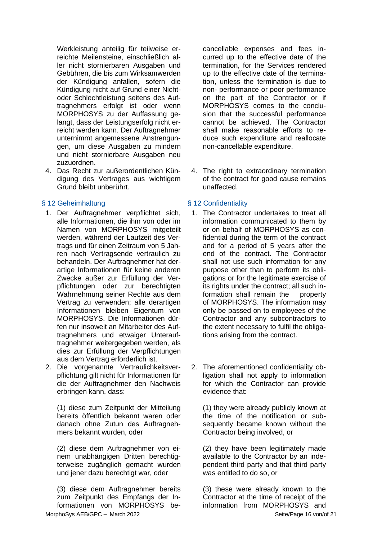Werkleistung anteilig für teilweise erreichte Meilensteine, einschließlich aller nicht stornierbaren Ausgaben und Gebühren, die bis zum Wirksamwerden der Kündigung anfallen, sofern die Kündigung nicht auf Grund einer Nichtoder Schlechtleistung seitens des Auftragnehmers erfolgt ist oder wenn MORPHOSYS zu der Auffassung gelangt, dass der Leistungserfolg nicht erreicht werden kann. Der Auftragnehmer unternimmt angemessene Anstrengungen, um diese Ausgaben zu mindern und nicht stornierbare Ausgaben neu zuzuordnen.

4. Das Recht zur außerordentlichen Kündigung des Vertrages aus wichtigem Grund bleibt unberührt.

### § 12 Geheimhaltung **§ 12 Seheimhaltung** § 12 Confidentiality

- 1. Der Auftragnehmer verpflichtet sich, alle Informationen, die ihm von oder im Namen von MORPHOSYS mitgeteilt werden, während der Laufzeit des Vertrags und für einen Zeitraum von 5 Jahren nach Vertragsende vertraulich zu behandeln. Der Auftragnehmer hat derartige Informationen für keine anderen Zwecke außer zur Erfüllung der Verpflichtungen oder zur berechtigten Wahrnehmung seiner Rechte aus dem Vertrag zu verwenden; alle derartigen Informationen bleiben Eigentum von MORPHOSYS. Die Informationen dürfen nur insoweit an Mitarbeiter des Auftragnehmers und etwaiger Unterauftragnehmer weitergegeben werden, als dies zur Erfüllung der Verpflichtungen aus dem Vertrag erforderlich ist.
- 2. Die vorgenannte Vertraulichkeitsverpflichtung gilt nicht für Informationen für die der Auftragnehmer den Nachweis erbringen kann, dass:

(1) diese zum Zeitpunkt der Mitteilung bereits öffentlich bekannt waren oder danach ohne Zutun des Auftragnehmers bekannt wurden, oder

(2) diese dem Auftragnehmer von einem unabhängigen Dritten berechtigterweise zugänglich gemacht wurden und jener dazu berechtigt war, oder

MorphoSys AEB/GPC – March 2022 Seite/Page 16 von/of 21 (3) diese dem Auftragnehmer bereits zum Zeitpunkt des Empfangs der Informationen von MORPHOSYS be-

cancellable expenses and fees incurred up to the effective date of the termination, for the Services rendered up to the effective date of the termination, unless the termination is due to non- performance or poor performance on the part of the Contractor or if MORPHOSYS comes to the conclusion that the successful performance cannot be achieved. The Contractor shall make reasonable efforts to reduce such expenditure and reallocate non-cancellable expenditure.

4. The right to extraordinary termination of the contract for good cause remains unaffected.

- 1. The Contractor undertakes to treat all information communicated to them by or on behalf of MORPHOSYS as confidential during the term of the contract and for a period of 5 years after the end of the contract. The Contractor shall not use such information for any purpose other than to perform its obligations or for the legitimate exercise of its rights under the contract; all such information shall remain the property of MORPHOSYS. The information may only be passed on to employees of the Contractor and any subcontractors to the extent necessary to fulfil the obligations arising from the contract.
- 2. The aforementioned confidentiality obligation shall not apply to information for which the Contractor can provide evidence that:

(1) they were already publicly known at the time of the notification or subsequently became known without the Contractor being involved, or

(2) they have been legitimately made available to the Contractor by an independent third party and that third party was entitled to do so, or

(3) these were already known to the Contractor at the time of receipt of the information from MORPHOSYS and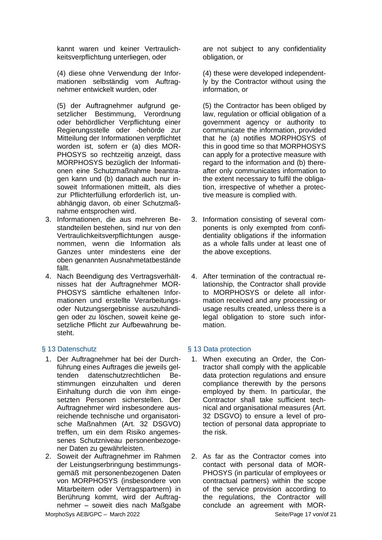kannt waren und keiner Vertraulichkeitsverpflichtung unterliegen, oder

(4) diese ohne Verwendung der Informationen selbständig vom Auftragnehmer entwickelt wurden, oder

(5) der Auftragnehmer aufgrund gesetzlicher Bestimmung, Verordnung oder behördlicher Verpflichtung einer Regierungsstelle oder -behörde zur Mitteilung der Informationen verpflichtet worden ist, sofern er (a) dies MOR-PHOSYS so rechtzeitig anzeigt, dass MORPHOSYS bezüglich der Informationen eine Schutzmaßnahme beantragen kann und (b) danach auch nur insoweit Informationen mitteilt, als dies zur Pflichterfüllung erforderlich ist, unabhängig davon, ob einer Schutzmaßnahme entsprochen wird.

- 3. Informationen, die aus mehreren Bestandteilen bestehen, sind nur von den Vertraulichkeitsverpflichtungen ausgenommen, wenn die Information als Ganzes unter mindestens eine der oben genannten Ausnahmetatbestände fällt.
- 4. Nach Beendigung des Vertragsverhältnisses hat der Auftragnehmer MOR-PHOSYS sämtliche erhaltenen Informationen und erstellte Verarbeitungsoder Nutzungsergebnisse auszuhändigen oder zu löschen, soweit keine gesetzliche Pflicht zur Aufbewahrung besteht.

- 1. Der Auftragnehmer hat bei der Durchführung eines Auftrages die jeweils geltenden datenschutzrechtlichen Bestimmungen einzuhalten und deren Einhaltung durch die von ihm eingesetzten Personen sicherstellen. Der Auftragnehmer wird insbesondere ausreichende technische und organisatorische Maßnahmen (Art. 32 DSGVO) treffen, um ein dem Risiko angemessenes Schutzniveau personenbezogener Daten zu gewährleisten.
- 2. Soweit der Auftragnehmer im Rahmen der Leistungserbringung bestimmungsgemäß mit personenbezogenen Daten von MORPHOSYS (insbesondere von Mitarbeitern oder Vertragspartnern) in Berührung kommt, wird der Auftragnehmer – soweit dies nach Maßgabe

are not subject to any confidentiality obligation, or

(4) these were developed independently by the Contractor without using the information, or

(5) the Contractor has been obliged by law, regulation or official obligation of a government agency or authority to communicate the information, provided that he (a) notifies MORPHOSYS of this in good time so that MORPHOSYS can apply for a protective measure with regard to the information and (b) thereafter only communicates information to the extent necessary to fulfil the obligation, irrespective of whether a protective measure is complied with.

- 3. Information consisting of several components is only exempted from confidentiality obligations if the information as a whole falls under at least one of the above exceptions.
- 4. After termination of the contractual relationship, the Contractor shall provide to MORPHOSYS or delete all information received and any processing or usage results created, unless there is a legal obligation to store such information.

# § 13 Datenschutz § 13 Data protection

- 1. When executing an Order, the Contractor shall comply with the applicable data protection regulations and ensure compliance therewith by the persons employed by them. In particular, the Contractor shall take sufficient technical and organisational measures (Art. 32 DSGVO) to ensure a level of protection of personal data appropriate to the risk.
- 2. As far as the Contractor comes into contact with personal data of MOR-PHOSYS (in particular of employees or contractual partners) within the scope of the service provision according to the regulations, the Contractor will conclude an agreement with MOR-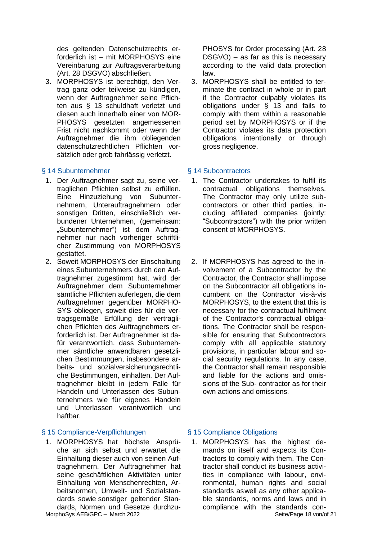des geltenden Datenschutzrechts erforderlich ist – mit MORPHOSYS eine Vereinbarung zur Auftragsverarbeitung (Art. 28 DSGVO) abschließen.

3. MORPHOSYS ist berechtigt, den Vertrag ganz oder teilweise zu kündigen, wenn der Auftragnehmer seine Pflichten aus § 13 schuldhaft verletzt und diesen auch innerhalb einer von MOR-PHOSYS gesetzten angemessenen Frist nicht nachkommt oder wenn der Auftragnehmer die ihm obliegenden datenschutzrechtlichen Pflichten vorsätzlich oder grob fahrlässig verletzt.

### § 14 Subunternehmer § 14 Subcontractors

- 1. Der Auftragnehmer sagt zu, seine vertraglichen Pflichten selbst zu erfüllen. Eine Hinzuziehung von Subunternehmern, Unterauftragnehmern oder sonstigen Dritten, einschließlich verbundener Unternehmen, (gemeinsam: "Subunternehmer") ist dem Auftragnehmer nur nach vorheriger schriftlicher Zustimmung von MORPHOSYS gestattet.
- 2. Soweit MORPHOSYS der Einschaltung eines Subunternehmers durch den Auftragnehmer zugestimmt hat, wird der Auftragnehmer dem Subunternehmer sämtliche Pflichten auferlegen, die dem Auftragnehmer gegenüber MORPHO-SYS obliegen, soweit dies für die vertragsgemäße Erfüllung der vertraglichen Pflichten des Auftragnehmers erforderlich ist. Der Auftragnehmer ist dafür verantwortlich, dass Subunternehmer sämtliche anwendbaren gesetzlichen Bestimmungen, insbesondere arbeits- und sozialversicherungsrechtliche Bestimmungen, einhalten. Der Auftragnehmer bleibt in jedem Falle für Handeln und Unterlassen des Subunternehmers wie für eigenes Handeln und Unterlassen verantwortlich und hafthar

### § 15 Compliance-Verpflichtungen § 15 Compliance Obligations

1. MORPHOSYS hat höchste Ansprüche an sich selbst und erwartet die Einhaltung dieser auch von seinen Auftragnehmern. Der Auftragnehmer hat seine geschäftlichen Aktivitäten unter Einhaltung von Menschenrechten, Arbeitsnormen, Umwelt- und Sozialstandards sowie sonstiger geltender Standards, Normen und Gesetze durchzuPHOSYS for Order processing (Art. 28 DSGVO) – as far as this is necessary according to the valid data protection law.

3. MORPHOSYS shall be entitled to terminate the contract in whole or in part if the Contractor culpably violates its obligations under § 13 and fails to comply with them within a reasonable period set by MORPHOSYS or if the Contractor violates its data protection obligations intentionally or through gross negligence.

- 1. The Contractor undertakes to fulfil its contractual obligations themselves. The Contractor may only utilize subcontractors or other third parties, including affiliated companies (jointly: "Subcontractors") with the prior written consent of MORPHOSYS.
- 2. If MORPHOSYS has agreed to the involvement of a Subcontractor by the Contractor, the Contractor shall impose on the Subcontractor all obligations incumbent on the Contractor vis-à-vis MORPHOSYS, to the extent that this is necessary for the contractual fulfilment of the Contractor's contractual obligations. The Contractor shall be responsible for ensuring that Subcontractors comply with all applicable statutory provisions, in particular labour and social security regulations. In any case, the Contractor shall remain responsible and liable for the actions and omissions of the Sub- contractor as for their own actions and omissions.

MorphoSys AEB/GPC – March 2022 Seite/Page 18 von/of 21 1. MORPHOSYS has the highest demands on itself and expects its Contractors to comply with them. The Contractor shall conduct its business activities in compliance with labour, environmental, human rights and social standards aswell as any other applicable standards, norms and laws and in compliance with the standards con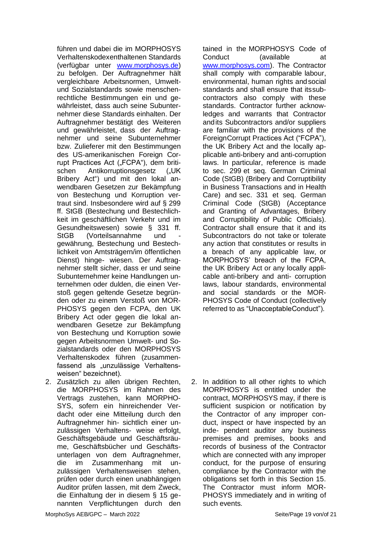führen und dabei die im MORPHOSYS Verhaltenskodexenthaltenen Standards (verfügbar unter [www.morphosys.de\)](http://www.morphosys.de/) zu befolgen. Der Auftragnehmer hält vergleichbare Arbeitsnormen, Umweltund Sozialstandards sowie menschenrechtliche Bestimmungen ein und gewährleistet, dass auch seine Subunternehmer diese Standards einhalten. Der Auftragnehmer bestätigt des Weiteren und gewährleistet, dass der Auftragnehmer und seine Subunternehmer bzw. Zulieferer mit den Bestimmungen des US-amerikanischen Foreign Corrupt Practices Act ("FCPA"), dem britischen Antikorruptionsgesetz ("UK Bribery Act") und mit den lokal anwendbaren Gesetzen zur Bekämpfung von Bestechung und Korruption vertraut sind. Insbesondere wird auf § 299 ff. StGB (Bestechung und Bestechlichkeit im geschäftlichen Verkehr und im Gesundheitswesen) sowie § 331 ff. StGB (Vorteilsannahme und gewährung, Bestechung und Bestechlichkeit von Amtsträgern/im öffentlichen Dienst) hinge- wiesen. Der Auftragnehmer stellt sicher, dass er und seine Subunternehmer keine Handlungen unternehmen oder dulden, die einen Verstoß gegen geltende Gesetze begründen oder zu einem Verstoß von MOR-PHOSYS gegen den FCPA, den UK Bribery Act oder gegen die lokal anwendbaren Gesetze zur Bekämpfung von Bestechung und Korruption sowie gegen Arbeitsnormen Umwelt- und Sozialstandards oder den MORPHOSYS Verhaltenskodex führen (zusammenfassend als "unzulässige Verhaltensweisen" bezeichnet).

2. Zusätzlich zu allen übrigen Rechten, die MORPHOSYS im Rahmen des Vertrags zustehen, kann MORPHO-SYS, sofern ein hinreichender Verdacht oder eine Mitteilung durch den Auftragnehmer hin- sichtlich einer unzulässigen Verhaltens- weise erfolgt, Geschäftsgebäude und Geschäftsräume, Geschäftsbücher und Geschäftsunterlagen von dem Auftragnehmer, die im Zusammenhang mit unzulässigen Verhaltensweisen stehen, prüfen oder durch einen unabhängigen Auditor prüfen lassen, mit dem Zweck, die Einhaltung der in diesem § 15 genannten Verpflichtungen durch den tained in the MORPHOSYS Code of Conduct (available at [www.morphosys.com\)](http://www.morphosys.com/). The Contractor shall comply with comparable labour, environmental, human rights andsocial standards and shall ensure that itssubcontractors also comply with these standards. Contractor further acknowledges and warrants that Contractor andits Subcontractors and/or suppliers are familiar with the provisions of the ForeignCorrupt Practices Act ("FCPA"), the UK Bribery Act and the locally applicable anti-bribery and anti-corruption laws. In particular, reference is made to sec. 299 et seq. German Criminal Code (StGB) (Bribery and Corruptibility in Business Transactions and in Health Care) and sec. 331 et seq. German Criminal Code (StGB) (Acceptance and Granting of Advantages, Bribery and Corruptibility of Public Officials). Contractor shall ensure that it and its Subcontractors do not take or tolerate any action that constitutes or results in a breach of any applicable law, or MORPHOSYS' breach of the FCPA, the UK Bribery Act or any locally applicable anti-bribery and anti- corruption laws, labour standards, environmental and social standards or the MOR-PHOSYS Code of Conduct (collectively referred to as "UnacceptableConduct").

2. In addition to all other rights to which MORPHOSYS is entitled under the contract, MORPHOSYS may, if there is sufficient suspicion or notification by the Contractor of any improper conduct, inspect or have inspected by an inde- pendent auditor any business premises and premises, books and records of business of the Contractor which are connected with any improper conduct, for the purpose of ensuring compliance by the Contractor with the obligations set forth in this Section 15. The Contractor must inform MOR-PHOSYS immediately and in writing of such events.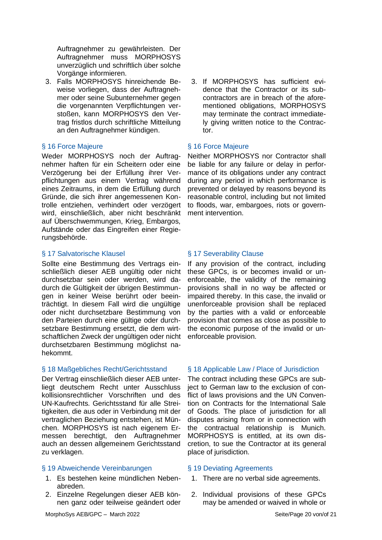Auftragnehmer zu gewährleisten. Der Auftragnehmer muss MORPHOSYS unverzüglich und schriftlich über solche Vorgänge informieren.

3. Falls MORPHOSYS hinreichende Beweise vorliegen, dass der Auftragnehmer oder seine Subunternehmer gegen die vorgenannten Verpflichtungen verstoßen, kann MORPHOSYS den Vertrag fristlos durch schriftliche Mitteilung an den Auftragnehmer kündigen.

### § 16 Force Majeure **§ 16 Force Majeure**

Weder MORPHOSYS noch der Auftragnehmer haften für ein Scheitern oder eine Verzögerung bei der Erfüllung ihrer Verpflichtungen aus einem Vertrag während eines Zeitraums, in dem die Erfüllung durch Gründe, die sich ihrer angemessenen Kontrolle entziehen, verhindert oder verzögert wird, einschließlich, aber nicht beschränkt auf Überschwemmungen, Krieg, Embargos, Aufstände oder das Eingreifen einer Regierungsbehörde.

### § 17 Salvatorische Klausel <br>
§ 17 Severability Clause

Sollte eine Bestimmung des Vertrags einschließlich dieser AEB ungültig oder nicht durchsetzbar sein oder werden, wird dadurch die Gültigkeit der übrigen Bestimmungen in keiner Weise berührt oder beeinträchtigt. In diesem Fall wird die ungültige oder nicht durchsetzbare Bestimmung von den Parteien durch eine gültige oder durchsetzbare Bestimmung ersetzt, die dem wirtschaftlichen Zweck der ungültigen oder nicht durchsetzbaren Bestimmung möglichst nahekommt.

Der Vertrag einschließlich dieser AEB unterliegt deutschem Recht unter Ausschluss kollisionsrechtlicher Vorschriften und des UN-Kaufrechts. Gerichtsstand für alle Streitigkeiten, die aus oder in Verbindung mit der vertraglichen Beziehung entstehen, ist München. MORPHOSYS ist nach eigenem Ermessen berechtigt, den Auftragnehmer auch an dessen allgemeinem Gerichtsstand zu verklagen.

### § 19 Abweichende Vereinbarungen § 19 Deviating Agreements

- 1. Es bestehen keine mündlichen Nebenabreden.
- 2. Einzelne Regelungen dieser AEB können ganz oder teilweise geändert oder

3. If MORPHOSYS has sufficient evidence that the Contractor or its subcontractors are in breach of the aforementioned obligations, MORPHOSYS may terminate the contract immediately giving written notice to the Contractor.

Neither MORPHOSYS nor Contractor shall be liable for any failure or delay in performance of its obligations under any contract during any period in which performance is prevented or delayed by reasons beyond its reasonable control, including but not limited to floods, war, embargoes, riots or government intervention.

If any provision of the contract, including these GPCs, is or becomes invalid or unenforceable, the validity of the remaining provisions shall in no way be affected or impaired thereby. In this case, the invalid or unenforceable provision shall be replaced by the parties with a valid or enforceable provision that comes as close as possible to the economic purpose of the invalid or unenforceable provision.

### § 18 Maßgebliches Recht/Gerichtsstand § 18 Applicable Law / Place of Jurisdiction

The contract including these GPCs are subject to German law to the exclusion of conflict of laws provisions and the UN Convention on Contracts for the International Sale of Goods. The place of jurisdiction for all disputes arising from or in connection with the contractual relationship is Munich. MORPHOSYS is entitled, at its own discretion, to sue the Contractor at its general place of jurisdiction.

- 1. There are no verbal side agreements.
- 2. Individual provisions of these GPCs may be amended or waived in whole or